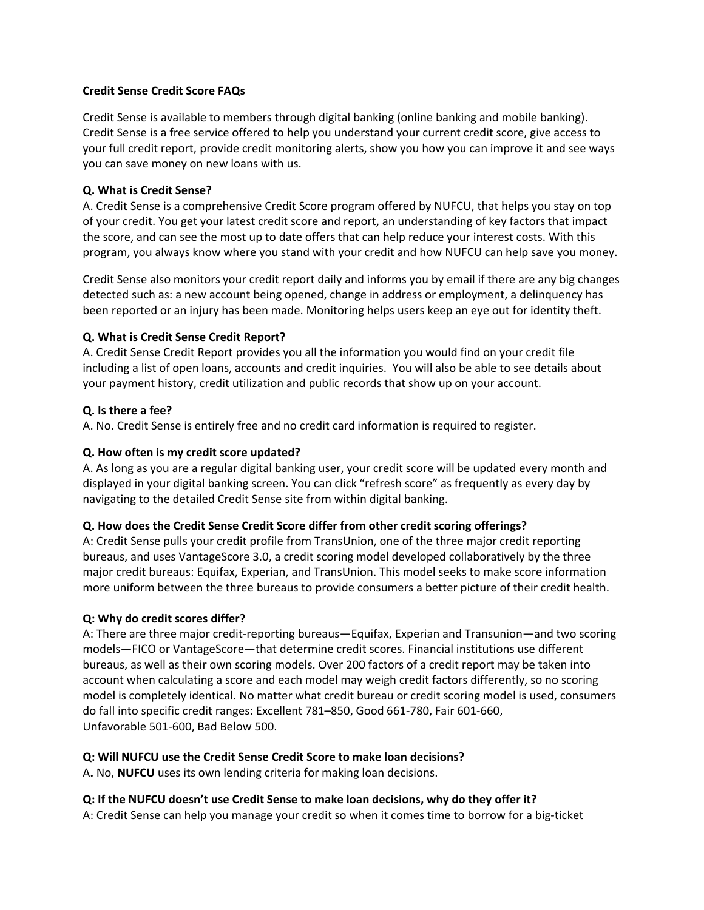#### **Credit Sense Credit Score FAQs**

Credit Sense is available to members through digital banking (online banking and mobile banking). Credit Sense is a free service offered to help you understand your current credit score, give access to your full credit report, provide credit monitoring alerts, show you how you can improve it and see ways you can save money on new loans with us.

## **Q. What is Credit Sense?**

A. Credit Sense is a comprehensive Credit Score program offered by NUFCU, that helps you stay on top of your credit. You get your latest credit score and report, an understanding of key factors that impact the score, and can see the most up to date offers that can help reduce your interest costs. With this program, you always know where you stand with your credit and how NUFCU can help save you money.

Credit Sense also monitors your credit report daily and informs you by email if there are any big changes detected such as: a new account being opened, change in address or employment, a delinquency has been reported or an injury has been made. Monitoring helps users keep an eye out for identity theft.

### **Q. What is Credit Sense Credit Report?**

A. Credit Sense Credit Report provides you all the information you would find on your credit file including a list of open loans, accounts and credit inquiries. You will also be able to see details about your payment history, credit utilization and public records that show up on your account.

### **Q. Is there a fee?**

A. No. Credit Sense is entirely free and no credit card information is required to register.

### **Q. How often is my credit score updated?**

A. As long as you are a regular digital banking user, your credit score will be updated every month and displayed in your digital banking screen. You can click "refresh score" as frequently as every day by navigating to the detailed Credit Sense site from within digital banking.

#### **Q. How does the Credit Sense Credit Score differ from other credit scoring offerings?**

A: Credit Sense pulls your credit profile from TransUnion, one of the three major credit reporting bureaus, and uses VantageScore 3.0, a credit scoring model developed collaboratively by the three major credit bureaus: Equifax, Experian, and TransUnion. This model seeks to make score information more uniform between the three bureaus to provide consumers a better picture of their credit health.

#### **Q: Why do credit scores differ?**

A: There are three major credit-reporting bureaus—Equifax, Experian and Transunion—and two scoring models—FICO or VantageScore—that determine credit scores. Financial institutions use different bureaus, as well as their own scoring models. Over 200 factors of a credit report may be taken into account when calculating a score and each model may weigh credit factors differently, so no scoring model is completely identical. No matter what credit bureau or credit scoring model is used, consumers do fall into specific credit ranges: Excellent 781–850, Good 661-780, Fair 601-660, Unfavorable 501-600, Bad Below 500.

# **Q: Will NUFCU use the Credit Sense Credit Score to make loan decisions?**

A**.** No, **NUFCU** uses its own lending criteria for making loan decisions.

#### **Q: If the NUFCU doesn't use Credit Sense to make loan decisions, why do they offer it?**

A: Credit Sense can help you manage your credit so when it comes time to borrow for a big-ticket